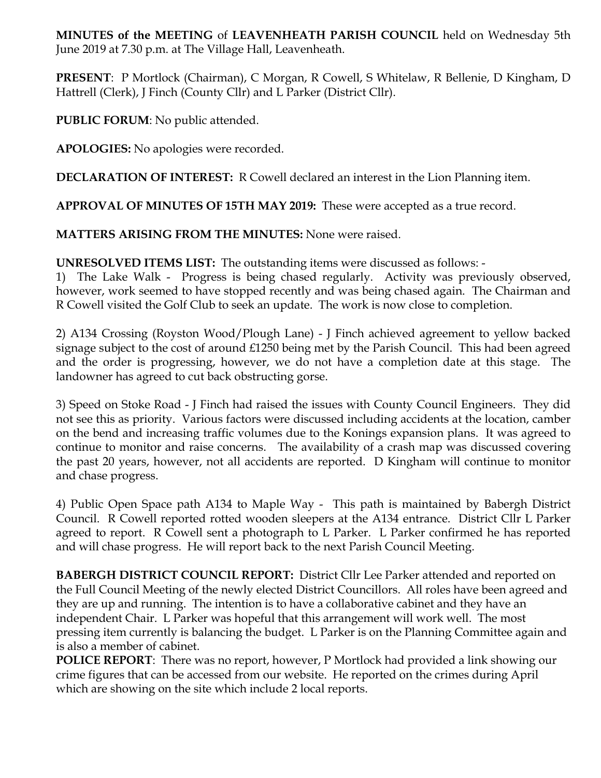**MINUTES of the MEETING** of **LEAVENHEATH PARISH COUNCIL** held on Wednesday 5th June 2019 at 7.30 p.m. at The Village Hall, Leavenheath.

**PRESENT**: P Mortlock (Chairman), C Morgan, R Cowell, S Whitelaw, R Bellenie, D Kingham, D Hattrell (Clerk), J Finch (County Cllr) and L Parker (District Cllr).

**PUBLIC FORUM**: No public attended.

**APOLOGIES:** No apologies were recorded.

**DECLARATION OF INTEREST:** R Cowell declared an interest in the Lion Planning item.

**APPROVAL OF MINUTES OF 15TH MAY 2019:** These were accepted as a true record.

**MATTERS ARISING FROM THE MINUTES:** None were raised.

**UNRESOLVED ITEMS LIST:** The outstanding items were discussed as follows: -

1) The Lake Walk - Progress is being chased regularly. Activity was previously observed, however, work seemed to have stopped recently and was being chased again. The Chairman and R Cowell visited the Golf Club to seek an update. The work is now close to completion.

2) A134 Crossing (Royston Wood/Plough Lane) - J Finch achieved agreement to yellow backed signage subject to the cost of around £1250 being met by the Parish Council. This had been agreed and the order is progressing, however, we do not have a completion date at this stage. The landowner has agreed to cut back obstructing gorse.

3) Speed on Stoke Road - J Finch had raised the issues with County Council Engineers. They did not see this as priority. Various factors were discussed including accidents at the location, camber on the bend and increasing traffic volumes due to the Konings expansion plans. It was agreed to continue to monitor and raise concerns. The availability of a crash map was discussed covering the past 20 years, however, not all accidents are reported. D Kingham will continue to monitor and chase progress.

4) Public Open Space path A134 to Maple Way - This path is maintained by Babergh District Council. R Cowell reported rotted wooden sleepers at the A134 entrance. District Cllr L Parker agreed to report. R Cowell sent a photograph to L Parker. L Parker confirmed he has reported and will chase progress. He will report back to the next Parish Council Meeting.

**BABERGH DISTRICT COUNCIL REPORT:** District Cllr Lee Parker attended and reported on the Full Council Meeting of the newly elected District Councillors. All roles have been agreed and they are up and running. The intention is to have a collaborative cabinet and they have an independent Chair. L Parker was hopeful that this arrangement will work well. The most pressing item currently is balancing the budget. L Parker is on the Planning Committee again and is also a member of cabinet.

**POLICE REPORT**: There was no report, however, P Mortlock had provided a link showing our crime figures that can be accessed from our website. He reported on the crimes during April which are showing on the site which include 2 local reports.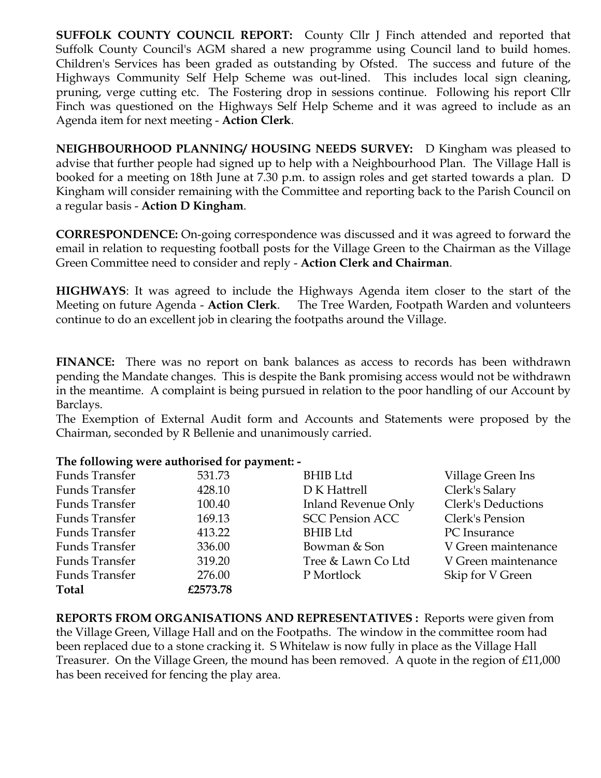**SUFFOLK COUNTY COUNCIL REPORT:** County Cllr J Finch attended and reported that Suffolk County Council's AGM shared a new programme using Council land to build homes. Children's Services has been graded as outstanding by Ofsted. The success and future of the Highways Community Self Help Scheme was out-lined. This includes local sign cleaning, pruning, verge cutting etc. The Fostering drop in sessions continue. Following his report Cllr Finch was questioned on the Highways Self Help Scheme and it was agreed to include as an Agenda item for next meeting - **Action Clerk**.

**NEIGHBOURHOOD PLANNING/ HOUSING NEEDS SURVEY:** D Kingham was pleased to advise that further people had signed up to help with a Neighbourhood Plan. The Village Hall is booked for a meeting on 18th June at 7.30 p.m. to assign roles and get started towards a plan. D Kingham will consider remaining with the Committee and reporting back to the Parish Council on a regular basis - **Action D Kingham**.

**CORRESPONDENCE:** On-going correspondence was discussed and it was agreed to forward the email in relation to requesting football posts for the Village Green to the Chairman as the Village Green Committee need to consider and reply - **Action Clerk and Chairman**.

**HIGHWAYS**: It was agreed to include the Highways Agenda item closer to the start of the Meeting on future Agenda - **Action Clerk**. The Tree Warden, Footpath Warden and volunteers continue to do an excellent job in clearing the footpaths around the Village.

**FINANCE:** There was no report on bank balances as access to records has been withdrawn pending the Mandate changes. This is despite the Bank promising access would not be withdrawn in the meantime. A complaint is being pursued in relation to the poor handling of our Account by Barclays.

The Exemption of External Audit form and Accounts and Statements were proposed by the Chairman, seconded by R Bellenie and unanimously carried.

## **The following were authorised for payment: -**

| <b>Funds Transfer</b> | 531.73   | <b>BHIB</b> Ltd            | Village Green Ins   |
|-----------------------|----------|----------------------------|---------------------|
| Funds Transfer        | 428.10   | D K Hattrell               | Clerk's Salary      |
| <b>Funds Transfer</b> | 100.40   | <b>Inland Revenue Only</b> | Clerk's Deductions  |
| <b>Funds Transfer</b> | 169.13   | <b>SCC Pension ACC</b>     | Clerk's Pension     |
| <b>Funds Transfer</b> | 413.22   | <b>BHIB Ltd</b>            | PC Insurance        |
| <b>Funds Transfer</b> | 336.00   | Bowman & Son               | V Green maintenance |
| <b>Funds Transfer</b> | 319.20   | Tree & Lawn Co Ltd         | V Green maintenance |
| <b>Funds Transfer</b> | 276.00   | P Mortlock                 | Skip for V Green    |
| <b>Total</b>          | £2573.78 |                            |                     |

**REPORTS FROM ORGANISATIONS AND REPRESENTATIVES :** Reports were given from the Village Green, Village Hall and on the Footpaths. The window in the committee room had been replaced due to a stone cracking it. S Whitelaw is now fully in place as the Village Hall Treasurer. On the Village Green, the mound has been removed. A quote in the region of £11,000 has been received for fencing the play area.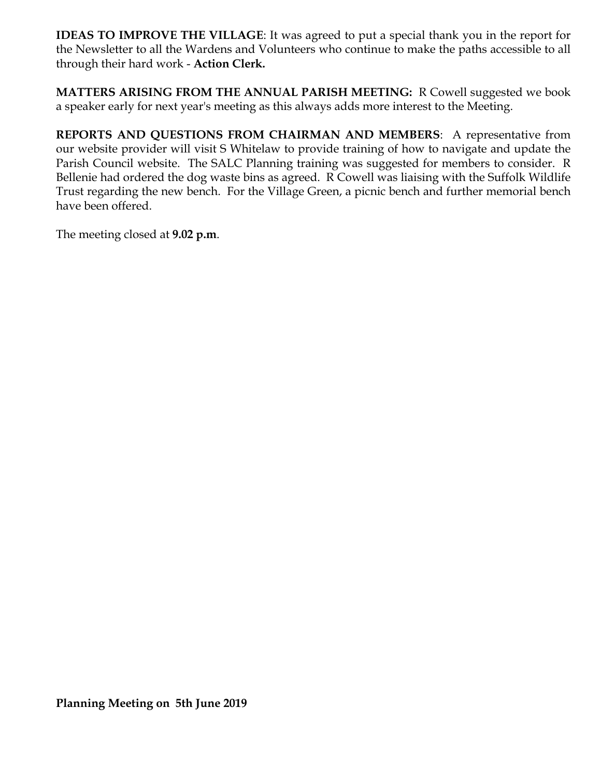**IDEAS TO IMPROVE THE VILLAGE**: It was agreed to put a special thank you in the report for the Newsletter to all the Wardens and Volunteers who continue to make the paths accessible to all through their hard work - **Action Clerk.**

**MATTERS ARISING FROM THE ANNUAL PARISH MEETING:** R Cowell suggested we book a speaker early for next year's meeting as this always adds more interest to the Meeting.

**REPORTS AND QUESTIONS FROM CHAIRMAN AND MEMBERS**: A representative from our website provider will visit S Whitelaw to provide training of how to navigate and update the Parish Council website. The SALC Planning training was suggested for members to consider. R Bellenie had ordered the dog waste bins as agreed. R Cowell was liaising with the Suffolk Wildlife Trust regarding the new bench. For the Village Green, a picnic bench and further memorial bench have been offered.

The meeting closed at **9.02 p.m**.